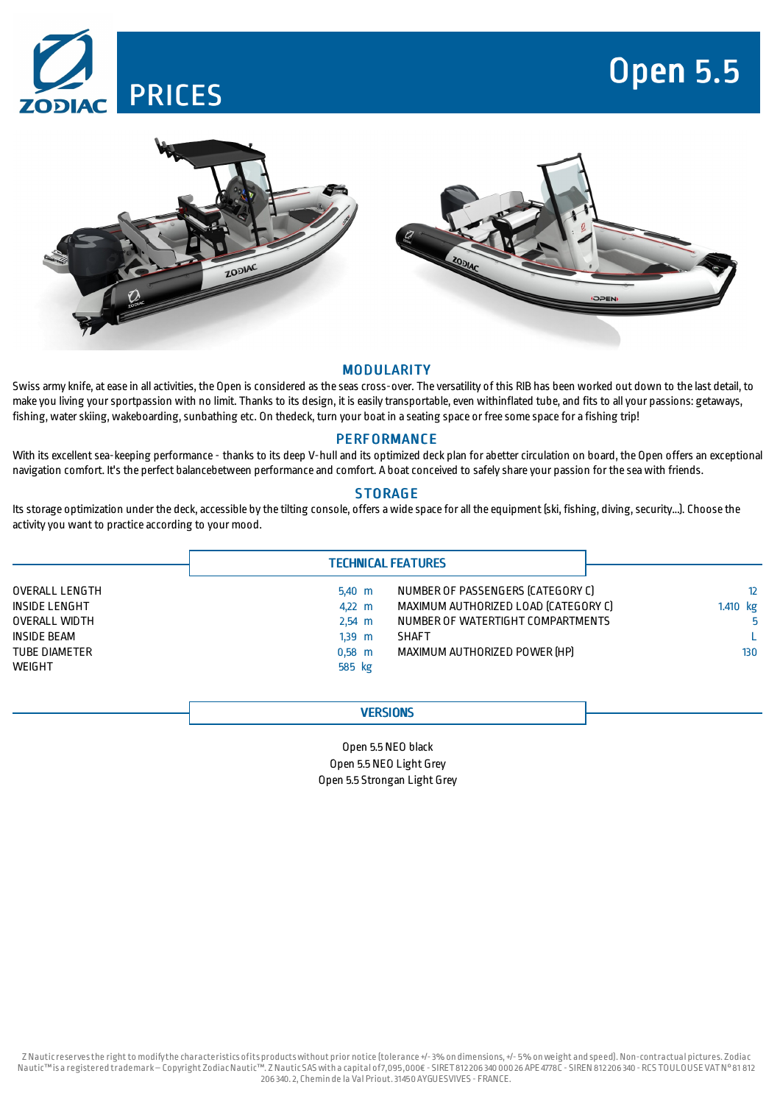

# Open 5.5





## **MODULARITY**

Swiss army knife, at ease in all activities, the Open is considered as the seas cross-over. The versatility of this RIB has been worked out down to the last detail, to make you living yoursportpassion with no limit. Thanks to its design, itis easily transportable, even withinflated tube, and fits to all your passions: getaways, fishing, water skiing, wakeboarding, sunbathing etc. On thedeck, turn your boat in a seating space or free some space for a fishing trip!

## **PERFORMANCE**

With its excellent sea-keeping performance - thanks to its deep V-hull and its optimized deck plan for abetter circulation on board, the Open offers an exceptional navigation comfort. It's the perfect balancebetween performance and comfort. A boatconceived to safely share your passion for the seawith friends.

# **STORAGE**

Its storage optimization under the deck, accessible by the tilting console, offers a wide space for all the equipment (ski, fishing, diving, security...). Choose the activity you want to practice according to your mood.

|                |                  | <b>TECHNICAL FEATURES</b>            |                 |  |
|----------------|------------------|--------------------------------------|-----------------|--|
| OVERALL LENGTH | $5.40$ m         | NUMBER OF PASSENGERS (CATEGORY C)    | 12 <sup>2</sup> |  |
| INSIDE LENGHT  | $4.22 \text{ m}$ | MAXIMUM AUTHORIZED LOAD ICATEGORY CI | 1.410 kg        |  |
| OVERALL WIDTH  | $2,54 \, m$      | NUMBER OF WATERTIGHT COMPARTMENTS    |                 |  |
| INSIDE BEAM    | $1.39$ m         | <b>SHAFT</b>                         |                 |  |
| TUBE DIAMETER  | $0.58$ m         | MAXIMUM AUTHORIZED POWER [HP]        | 130             |  |
| WEIGHT         | 585 kg           |                                      |                 |  |

# **VERSIONS**

Open 5.5 NEO black Open 5.5 NEO Light Grey Open 5.5 Strongan Light Grey

Z Nauticreservesthe rightto modifythe characteristics ofits productswithout prior notice (tolerance +/-3% on dimensions,+/- 5% onweight and speed). Non-contractual pictures. Zodiac Nautic™is a registered trademark–Copyright ZodiacNautic™. Z Nautic SAS with a capital of7,095,000€ - SIRET812206 340 000 26 APE 4778C - SIREN 812206 340 - RCS TOULOUSE VATN°81 812 206 340.2, Chemin de la Val Priout.31450AYGUESVIVES - FRANCE.